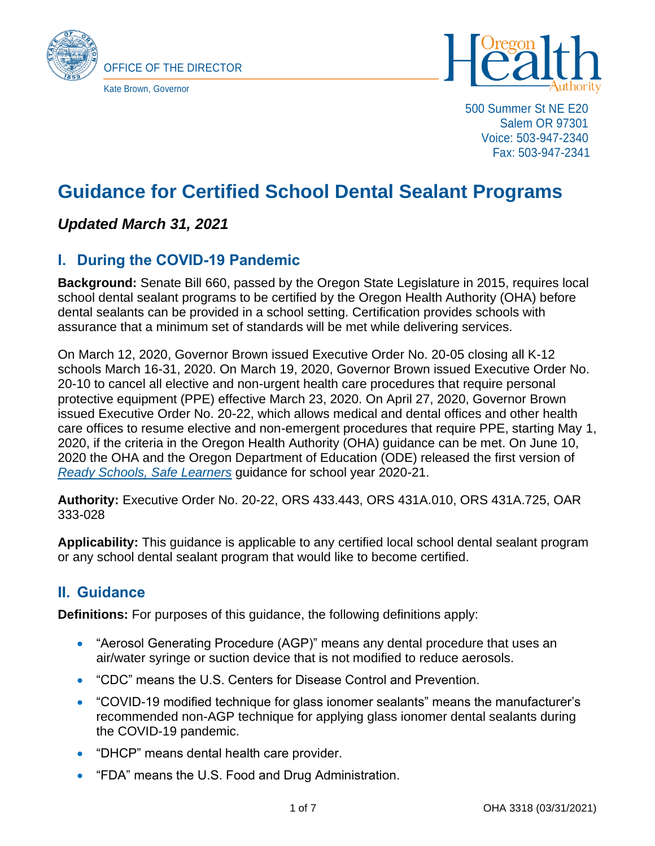



500 Summer St NE E20 Salem OR 97301 Voice: 503-947-2340 Fax: 503-947-2341

# **Guidance for Certified School Dental Sealant Programs**

## *Updated March 31, 2021*

# **I. During the COVID-19 Pandemic**

**Background:** Senate Bill 660, passed by the Oregon State Legislature in 2015, requires local school dental sealant programs to be certified by the Oregon Health Authority (OHA) before dental sealants can be provided in a school setting. Certification provides schools with assurance that a minimum set of standards will be met while delivering services.

On March 12, 2020, Governor Brown issued Executive Order No. 20-05 closing all K-12 schools March 16-31, 2020. On March 19, 2020, Governor Brown issued Executive Order No. 20-10 to cancel all elective and non-urgent health care procedures that require personal protective equipment (PPE) effective March 23, 2020. On April 27, 2020, Governor Brown issued Executive Order No. 20-22, which allows medical and dental offices and other health care offices to resume elective and non-emergent procedures that require PPE, starting May 1, 2020, if the criteria in the Oregon Health Authority (OHA) guidance can be met. On June 10, 2020 the OHA and the Oregon Department of Education (ODE) released the first version of *[Ready Schools, Safe Learners](https://www.oregon.gov/ode/students-and-family/healthsafety/Pages/Planning-for-the-2020-21-School-Year.aspx)* guidance for school year 2020-21.

**Authority:** Executive Order No. 20-22, ORS 433.443, ORS 431A.010, ORS 431A.725, OAR 333-028

**Applicability:** This guidance is applicable to any certified local school dental sealant program or any school dental sealant program that would like to become certified.

## **II. Guidance**

**Definitions:** For purposes of this guidance, the following definitions apply:

- "Aerosol Generating Procedure (AGP)" means any dental procedure that uses an air/water syringe or suction device that is not modified to reduce aerosols.
- "CDC" means the U.S. Centers for Disease Control and Prevention.
- "COVID-19 modified technique for glass ionomer sealants" means the manufacturer's recommended non-AGP technique for applying glass ionomer dental sealants during the COVID-19 pandemic.
- "DHCP" means dental health care provider.
- "FDA" means the U.S. Food and Drug Administration.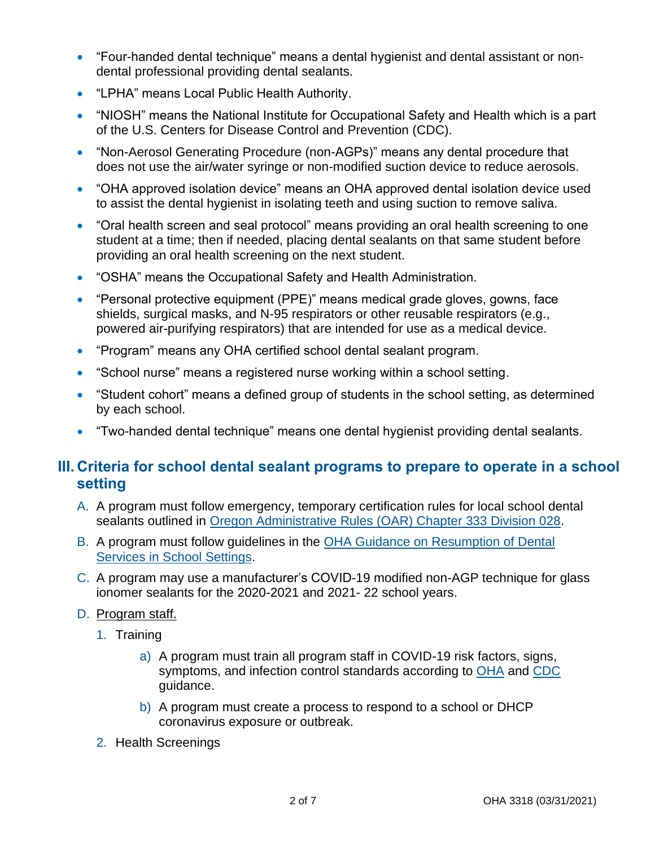- "Four-handed dental technique" means a dental hygienist and dental assistant or nondental professional providing dental sealants.
- "LPHA" means Local Public Health Authority.
- "NIOSH" means the National Institute for Occupational Safety and Health which is a part of the U.S. Centers for Disease Control and Prevention (CDC).
- "Non-Aerosol Generating Procedure (non-AGPs)" means any dental procedure that does not use the air/water syringe or non-modified suction device to reduce aerosols.
- "OHA approved isolation device" means an OHA approved dental isolation device used to assist the dental hygienist in isolating teeth and using suction to remove saliva.
- "Oral health screen and seal protocol" means providing an oral health screening to one student at a time; then if needed, placing dental sealants on that same student before providing an oral health screening on the next student.
- "OSHA" means the Occupational Safety and Health Administration.
- "Personal protective equipment (PPE)" means medical grade gloves, gowns, face shields, surgical masks, and N-95 respirators or other reusable respirators (e.g., powered air-purifying respirators) that are intended for use as a medical device.
- "Program" means any OHA certified school dental sealant program.
- "School nurse" means a registered nurse working within a school setting.
- "Student cohort" means a defined group of students in the school setting, as determined by each school.
- "Two-handed dental technique" means one dental hygienist providing dental sealants.

### **III. Criteria for school dental sealant programs to prepare to operate in a school setting**

- A. A program must follow emergency, temporary certification rules for local school dental sealants outlined in Oregon Administrative [Rules \(OAR\) Chapter 333 Division 028.](https://secure.sos.state.or.us/oard/displayDivisionRules.action?selectedDivision=1243)
- B. A program must follow guidelines in the [OHA Guidance on Resumption of Dental](https://sharedsystems.dhsoha.state.or.us/DHSForms/Served/le3318a.pdf)  [Services in School Settings.](https://sharedsystems.dhsoha.state.or.us/DHSForms/Served/le3318a.pdf)
- C. A program may use a manufacturer's COVID-19 modified non-AGP technique for glass ionomer sealants for the 2020-2021 and 2021- 22 school years.
- D. Program staff.
	- 1. Training
		- a) A program must train all program staff in COVID-19 risk factors, signs, symptoms, and infection control standards according to [OHA](https://sharedsystems.dhsoha.state.or.us/DHSForms/Served/le2288J.pdf) and [CDC](https://www.cdc.gov/coronavirus/2019-ncov/hcp/dental-settings.html) guidance.
		- b) A program must create a process to respond to a school or DHCP coronavirus exposure or outbreak.
	- 2. Health Screenings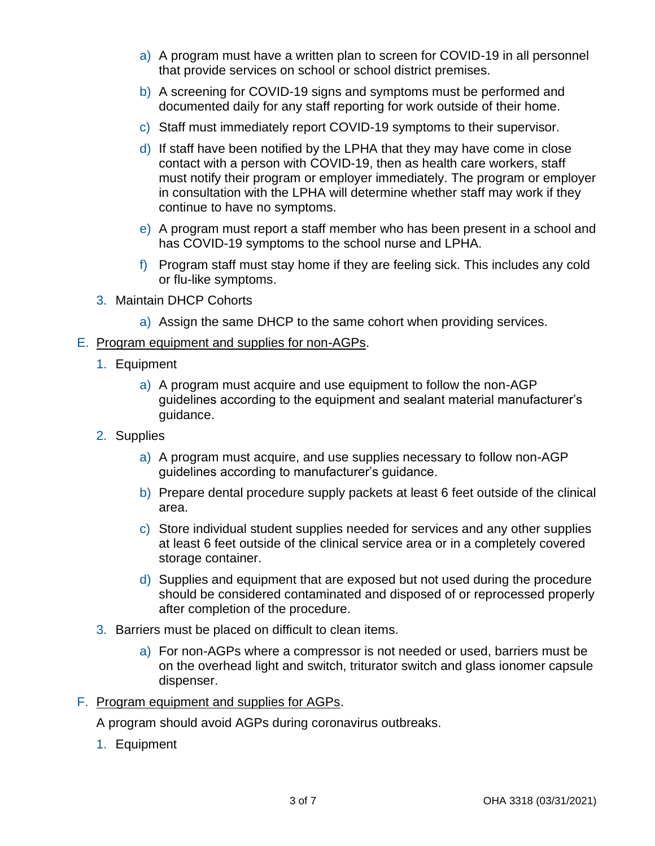- a) A program must have a written plan to screen for COVID-19 in all personnel that provide services on school or school district premises.
- b) A screening for COVID-19 signs and symptoms must be performed and documented daily for any staff reporting for work outside of their home.
- c) Staff must immediately report COVID-19 symptoms to their supervisor.
- d) If staff have been notified by the LPHA that they may have come in close contact with a person with COVID-19, then as health care workers, staff must notify their program or employer immediately. The program or employer in consultation with the LPHA will determine whether staff may work if they continue to have no symptoms.
- e) A program must report a staff member who has been present in a school and has COVID-19 symptoms to the school nurse and LPHA.
- f) Program staff must stay home if they are feeling sick. This includes any cold or flu-like symptoms.
- 3. Maintain DHCP Cohorts
	- a) Assign the same DHCP to the same cohort when providing services.

#### E. Program equipment and supplies for non-AGPs.

- 1. Equipment
	- a) A program must acquire and use equipment to follow the non-AGP guidelines according to the equipment and sealant material manufacturer's guidance.
- 2. Supplies
	- a) A program must acquire, and use supplies necessary to follow non-AGP guidelines according to manufacturer's guidance.
	- b) Prepare dental procedure supply packets at least 6 feet outside of the clinical area.
	- c) Store individual student supplies needed for services and any other supplies at least 6 feet outside of the clinical service area or in a completely covered storage container.
	- d) Supplies and equipment that are exposed but not used during the procedure should be considered contaminated and disposed of or reprocessed properly after completion of the procedure.
- 3. Barriers must be placed on difficult to clean items.
	- a) For non-AGPs where a compressor is not needed or used, barriers must be on the overhead light and switch, triturator switch and glass ionomer capsule dispenser.

#### F. Program equipment and supplies for AGPs.

A program should avoid AGPs during coronavirus outbreaks.

1. Equipment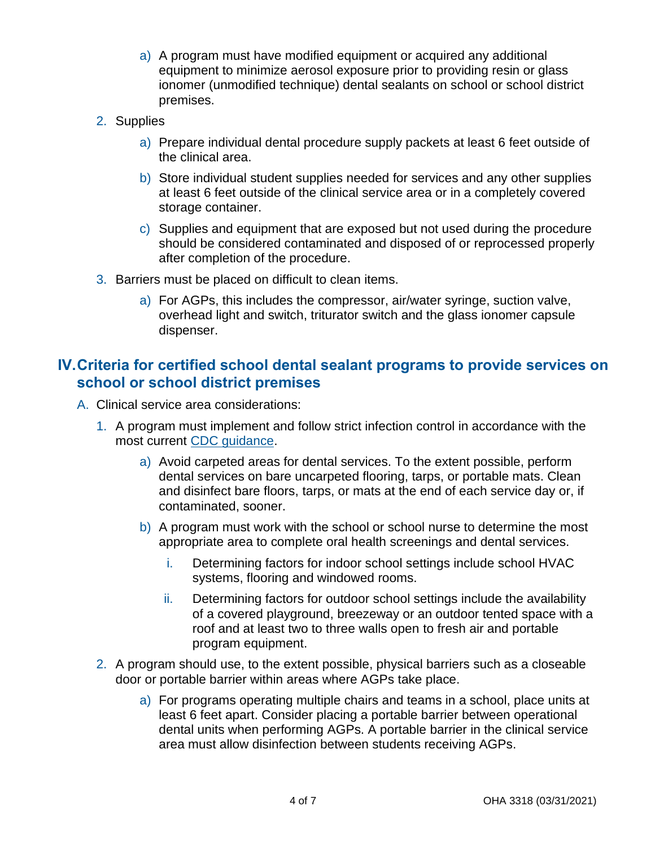- a) A program must have modified equipment or acquired any additional equipment to minimize aerosol exposure prior to providing resin or glass ionomer (unmodified technique) dental sealants on school or school district premises.
- 2. Supplies
	- a) Prepare individual dental procedure supply packets at least 6 feet outside of the clinical area.
	- b) Store individual student supplies needed for services and any other supplies at least 6 feet outside of the clinical service area or in a completely covered storage container.
	- c) Supplies and equipment that are exposed but not used during the procedure should be considered contaminated and disposed of or reprocessed properly after completion of the procedure.
- 3. Barriers must be placed on difficult to clean items.
	- a) For AGPs, this includes the compressor, air/water syringe, suction valve, overhead light and switch, triturator switch and the glass ionomer capsule dispenser.

### **IV.Criteria for certified school dental sealant programs to provide services on school or school district premises**

- A. Clinical service area considerations:
	- 1. A program must implement and follow strict infection control in accordance with the most current [CDC guidance.](https://www.cdc.gov/coronavirus/2019-ncov/hcp/dental-settings.html)
		- a) Avoid carpeted areas for dental services. To the extent possible, perform dental services on bare uncarpeted flooring, tarps, or portable mats. Clean and disinfect bare floors, tarps, or mats at the end of each service day or, if contaminated, sooner.
		- b) A program must work with the school or school nurse to determine the most appropriate area to complete oral health screenings and dental services.
			- i. Determining factors for indoor school settings include school HVAC systems, flooring and windowed rooms.
			- ii. Determining factors for outdoor school settings include the availability of a covered playground, breezeway or an outdoor tented space with a roof and at least two to three walls open to fresh air and portable program equipment.
	- 2. A program should use, to the extent possible, physical barriers such as a closeable door or portable barrier within areas where AGPs take place.
		- a) For programs operating multiple chairs and teams in a school, place units at least 6 feet apart. Consider placing a portable barrier between operational dental units when performing AGPs. A portable barrier in the clinical service area must allow disinfection between students receiving AGPs.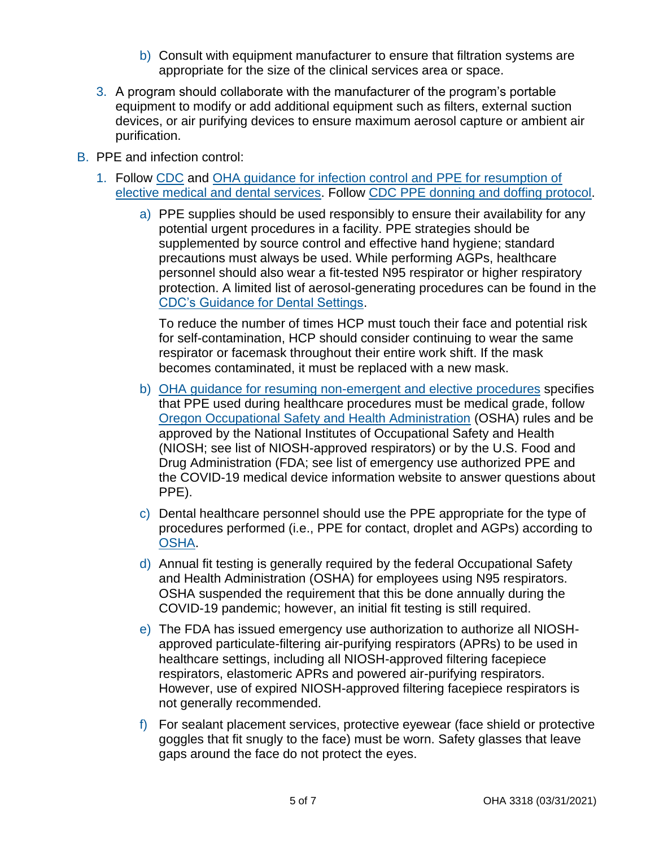- b) Consult with equipment manufacturer to ensure that filtration systems are appropriate for the size of the clinical services area or space.
- 3. A program should collaborate with the manufacturer of the program's portable equipment to modify or add additional equipment such as filters, external suction devices, or air purifying devices to ensure maximum aerosol capture or ambient air purification.
- B. PPE and infection control:
	- 1. Follow [CDC](https://www.cdc.gov/oralhealth/infectioncontrol/statement-COVID.html) and [OHA guidance for infection control and PPE for resumption of](https://sharedsystems.dhsoha.state.or.us/DHSForms/Served/le2322s.pdf)  [elective medical and dental services.](https://sharedsystems.dhsoha.state.or.us/DHSForms/Served/le2322s.pdf) Follow [CDC PPE donning and doffing protocol.](https://www.cdc.gov/coronavirus/2019-ncov/hcp/using-ppe.html)
		- a) PPE supplies should be used responsibly to ensure their availability for any potential urgent procedures in a facility. PPE strategies should be supplemented by source control and effective hand hygiene; standard precautions must always be used. While performing AGPs, healthcare personnel should also wear a fit-tested N95 respirator or higher respiratory protection. A limited list of aerosol-generating procedures can be found in the [CDC's Guidance for Dental Settings.](https://www.cdc.gov/coronavirus/2019-ncov/hcp/dental-settings.html)

To reduce the number of times HCP must touch their face and potential risk for self-contamination, HCP should consider continuing to wear the same respirator or facemask throughout their entire work shift. If the mask becomes contaminated, it must be replaced with a new mask.

- b) [OHA guidance for resuming non-emergent and elective procedures](https://sharedsystems.dhsoha.state.or.us/DHSForms/Served/le2322s.pdf) specifies that PPE used during healthcare procedures must be medical grade, follow [Oregon Occupational Safety and Health Administration](https://osha.oregon.gov/OSHAPubs/dentistry-ppe.pdf) (OSHA) rules and be approved by the National Institutes of Occupational Safety and Health (NIOSH; see list of NIOSH-approved respirators) or by the U.S. Food and Drug Administration (FDA; see list of emergency use authorized PPE and the COVID-19 medical device information website to answer questions about PPE).
- c) Dental healthcare personnel should use the PPE appropriate for the type of procedures performed (i.e., PPE for contact, droplet and AGPs) according to [OSHA.](https://www.osha.gov/SLTC/covid-19/dentistry.html)
- d) Annual fit testing is generally required by the federal Occupational Safety and Health Administration (OSHA) for employees using N95 respirators. OSHA suspended the requirement that this be done annually during the COVID-19 pandemic; however, an initial fit testing is still required.
- e) The FDA has issued emergency use authorization to authorize all NIOSHapproved particulate-filtering air-purifying respirators (APRs) to be used in healthcare settings, including all NIOSH-approved filtering facepiece respirators, elastomeric APRs and powered air-purifying respirators. However, use of expired NIOSH-approved filtering facepiece respirators is not generally recommended.
- f) For sealant placement services, protective eyewear (face shield or protective goggles that fit snugly to the face) must be worn. Safety glasses that leave gaps around the face do not protect the eyes.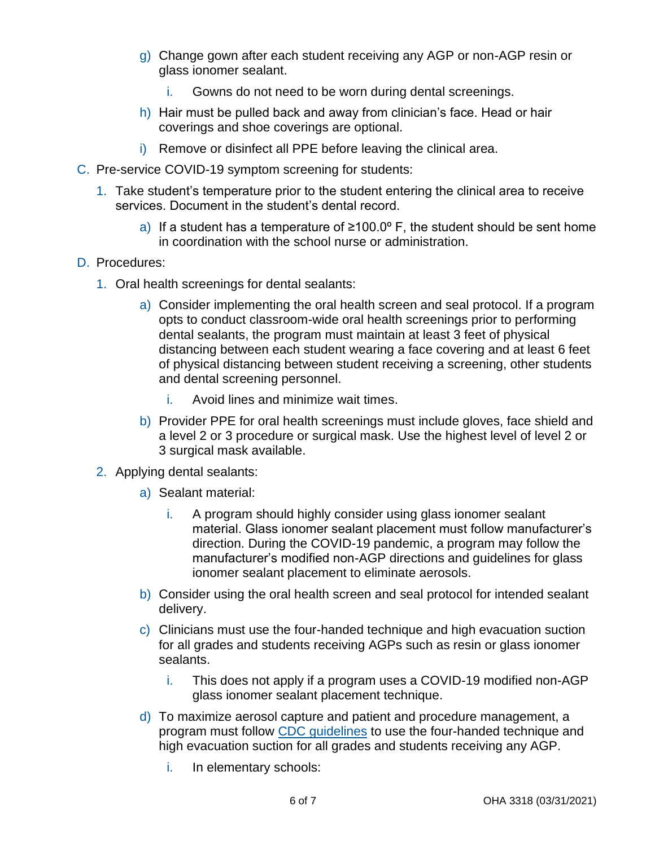- g) Change gown after each student receiving any AGP or non-AGP resin or glass ionomer sealant.
	- i. Gowns do not need to be worn during dental screenings.
- h) Hair must be pulled back and away from clinician's face. Head or hair coverings and shoe coverings are optional.
- i) Remove or disinfect all PPE before leaving the clinical area.
- C. Pre-service COVID-19 symptom screening for students:
	- 1. Take student's temperature prior to the student entering the clinical area to receive services. Document in the student's dental record.
		- a) If a student has a temperature of  $\geq 100.0^{\circ}$  F, the student should be sent home in coordination with the school nurse or administration.

#### D. Procedures:

- 1. Oral health screenings for dental sealants:
	- a) Consider implementing the oral health screen and seal protocol. If a program opts to conduct classroom-wide oral health screenings prior to performing dental sealants, the program must maintain at least 3 feet of physical distancing between each student wearing a face covering and at least 6 feet of physical distancing between student receiving a screening, other students and dental screening personnel.
		- i. Avoid lines and minimize wait times.
	- b) Provider PPE for oral health screenings must include gloves, face shield and a level 2 or 3 procedure or surgical mask. Use the highest level of level 2 or 3 surgical mask available.
- 2. Applying dental sealants:
	- a) Sealant material:
		- i. A program should highly consider using glass ionomer sealant material. Glass ionomer sealant placement must follow manufacturer's direction. During the COVID-19 pandemic, a program may follow the manufacturer's modified non-AGP directions and guidelines for glass ionomer sealant placement to eliminate aerosols.
	- b) Consider using the oral health screen and seal protocol for intended sealant delivery.
	- c) Clinicians must use the four-handed technique and high evacuation suction for all grades and students receiving AGPs such as resin or glass ionomer sealants.
		- i. This does not apply if a program uses a COVID-19 modified non-AGP glass ionomer sealant placement technique.
	- d) To maximize aerosol capture and patient and procedure management, a program must follow [CDC guidelines](https://www.cdc.gov/coronavirus/2019-ncov/hcp/dental-settings.html) to use the four-handed technique and high evacuation suction for all grades and students receiving any AGP.
		- i. In elementary schools: